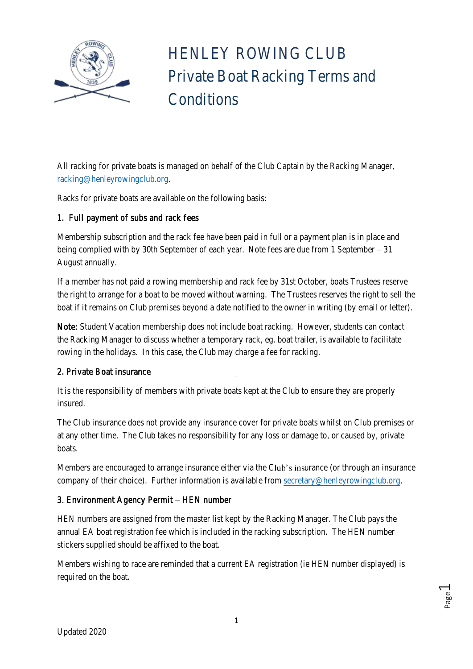

 HENLEY ROWING CLUB Private Boat Racking Terms and **Conditions** 

All racking for private boats is managed on behalf of the Club Captain by the Racking Manager, [racking@henleyrowingclub.org.](mailto:racking@henleyrowingclub.org)

Racks for private boats are available on the following basis:

## 1. Full payment of subs and rack fees

Membership subscription and the rack fee have been paid in full or a payment plan is in place and being complied with by 30th September of each year. Note fees are due from 1 September – 31 August annually.

If a member has not paid a rowing membership and rack fee by 31st October, boats Trustees reserve the right to arrange for a boat to be moved without warning. The Trustees reserves the right to sell the boat if it remains on Club premises beyond a date notified to the owner in writing (by email or letter).

Note: Student Vacation membership does not include boat racking. However, students can contact the Racking Manager to discuss whether a temporary rack, eg. boat trailer, is available to facilitate rowing in the holidays. In this case, the Club may charge a fee for racking.

## 2. Private Boat insurance

It is the responsibility of members with private boats kept at the Club to ensure they are properly insured.

The Club insurance does not provide any insurance cover for private boats whilst on Club premises or at any other time. The Club takes no responsibility for any loss or damage to, or caused by, private boats.

Members are encouraged to arrange insurance either via the Club's insurance (or through an insurance company of their choice). Further information is available from [secretary@henleyrowingclub.org.](mailto:secretary@henleyrowingclub.org)

# 3. Environment Agency Permit - HEN number

HEN numbers are assigned from the master list kept by the Racking Manager. The Club pays the annual EA boat registration fee which is included in the racking subscription. The HEN number stickers supplied should be affixed to the boat.

Members wishing to race are reminded that a current EA registration (ie HEN number displayed) is required on the boat.

Page  $\overline{\phantom{0}}$